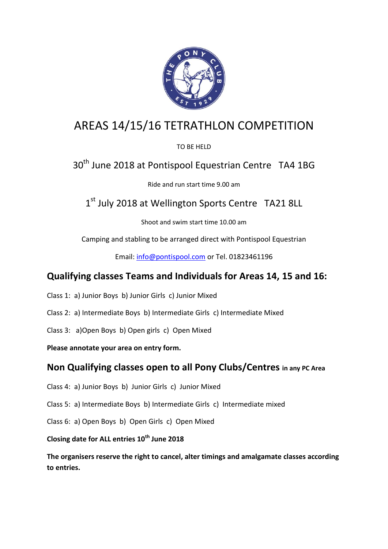

# AREAS 14/15/16 TETRATHLON COMPETITION

TO BE HELD

# 30<sup>th</sup> June 2018 at Pontispool Equestrian Centre TA4 1BG

Ride and run start time 9.00 am

1<sup>st</sup> July 2018 at Wellington Sports Centre TA21 8LL

Shoot and swim start time 10.00 am

Camping and stabling to be arranged direct with Pontispool Equestrian

Email: [info@pontispool.com](mailto:info@pontispool.com) or Tel. 01823461196

## **Qualifying classes Teams and Individuals for Areas 14, 15 and 16:**

- Class 1: a) Junior Boys b) Junior Girls c) Junior Mixed
- Class 2: a) Intermediate Boys b) Intermediate Girls c) Intermediate Mixed
- Class 3: a)Open Boys b) Open girls c) Open Mixed

**Please annotate your area on entry form.**

## **Non Qualifying classes open to all Pony Clubs/Centres in any PC Area**

- Class 4: a) Junior Boys b) Junior Girls c) Junior Mixed
- Class 5: a) Intermediate Boys b) Intermediate Girls c) Intermediate mixed
- Class 6: a) Open Boys b) Open Girls c) Open Mixed

**Closing date for ALL entries 10th June 2018**

**The organisers reserve the right to cancel, alter timings and amalgamate classes according to entries.**